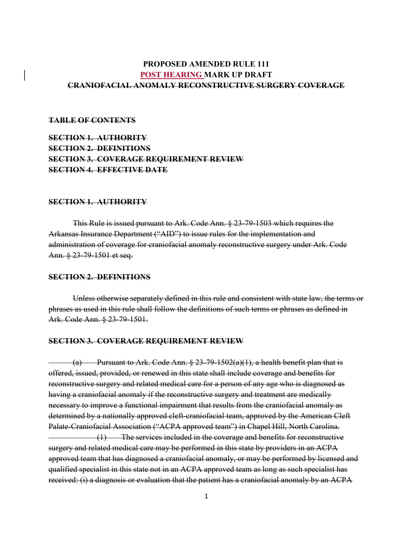## PROPOSED AMENDED RULE 111 POST HEARING MARK UP DRAFT CRANIOFACIAL ANOMALY RECONSTRUCTIVE SURGERY COVERAGE

#### TABLE OF CONTENTS

# SECTION 1. AUTHORITY SECTION 2. DEFINITIONS SECTION 3. COVERAGE REQUIREMENT REVIEW SECTION 4. EFFECTIVE DATE

#### SECTION 1. AUTHORITY

This Rule is issued pursuant to Ark. Code Ann. § 23-79-1503 which requires the Arkansas Insurance Department ("AID") to issue rules for the implementation and administration of coverage for craniofacial anomaly reconstructive surgery under Ark. Code Ann. § 23-79-1501 et seq.

#### SECTION 2. DEFINITIONS

Unless otherwise separately defined in this rule and consistent with state law, the terms or phrases as used in this rule shall follow the definitions of such terms or phrases as defined in Ark. Code Ann. § 23-79-1501.

### SECTION 3. COVERAGE REQUIREMENT REVIEW

(a) Pursuant to Ark. Code Ann.  $\S 23-79-1502(a)(1)$ , a health benefit plan that is offered, issued, provided, or renewed in this state shall include coverage and benefits for reconstructive surgery and related medical care for a person of any age who is diagnosed as having a craniofacial anomaly if the reconstructive surgery and treatment are medically necessary to improve a functional impairment that results from the craniofacial anomaly as determined by a nationally approved cleft-craniofacial team, approved by the American Cleft Palate-Craniofacial Association ("ACPA approved team") in Chapel Hill, North Carolina. (1) The services included in the coverage and benefits for reconstructive surgery and related medical care may be performed in this state by providers in an ACPA approved team that has diagnosed a craniofacial anomaly, or may be performed by licensed and qualified specialist in this state not in an ACPA approved team as long as such specialist has received: (i) a diagnosis or evaluation that the patient has a craniofacial anomaly by an ACPA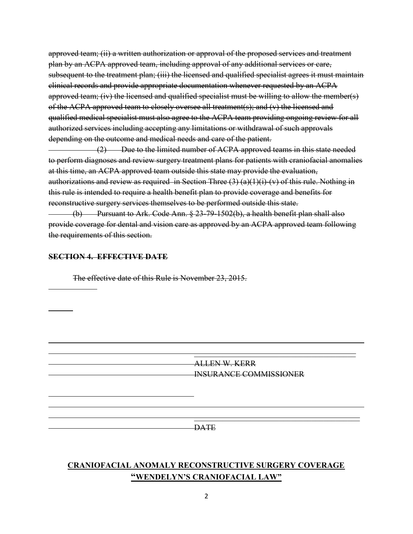approved team; (ii) a written authorization or approval of the proposed services and treatment plan by an ACPA approved team, including approval of any additional services or care, subsequent to the treatment plan; (iii) the licensed and qualified specialist agrees it must maintain clinical records and provide appropriate documentation whenever requested by an ACPA approved team; (iv) the licensed and qualified specialist must be willing to allow the member(s) of the ACPA approved team to closely oversee all treatment(s); and (v) the licensed and qualified medical specialist must also agree to the ACPA team providing ongoing review for all authorized services including accepting any limitations or withdrawal of such approvals depending on the outcome and medical needs and care of the patient.

(2) Due to the limited number of ACPA approved teams in this state needed to perform diagnoses and review surgery treatment plans for patients with craniofacial anomalies at this time, an ACPA approved team outside this state may provide the evaluation, authorizations and review as required in Section Three  $(3)$  (a)(1)(i)-(v) of this rule. Nothing in this rule is intended to require a health benefit plan to provide coverage and benefits for reconstructive surgery services themselves to be performed outside this state.

 (b) Pursuant to Ark. Code Ann. § 23-79-1502(b), a health benefit plan shall also provide coverage for dental and vision care as approved by an ACPA approved team following the requirements of this section.

### SECTION 4. EFFECTIVE DATE

 $\overline{a}$ 

 $\overline{a}$ 

 $\overline{a}$ 

 $\overline{a}$  $\overline{a}$  The effective date of this Rule is November 23, 2015.

 ALLEN W. KERR INSURANCE COMMISSIONER

 $\overline{\phantom{a}}$  , and the contract of the contract of the contract of the contract of the contract of the contract of the contract of the contract of the contract of the contract of the contract of the contract of the contrac **DATE** 

\_\_\_\_\_\_\_\_\_\_\_\_\_\_\_\_\_\_\_\_\_\_\_\_\_\_\_\_\_\_\_\_\_\_\_\_\_\_\_\_

# CRANIOFACIAL ANOMALY RECONSTRUCTIVE SURGERY COVERAGE "WENDELYN'S CRANIOFACIAL LAW"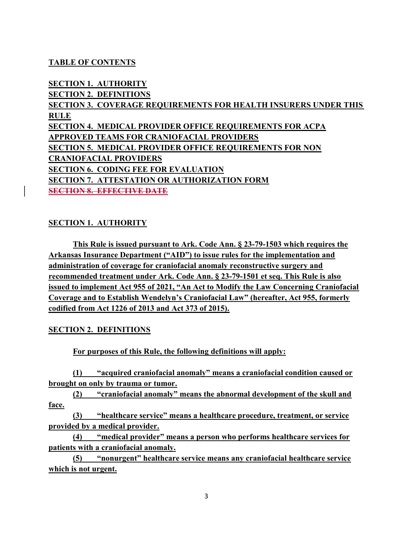## TABLE OF CONTENTS

SECTION 1. AUTHORITY SECTION 2. DEFINITIONS SECTION 3. COVERAGE REQUIREMENTS FOR HEALTH INSURERS UNDER THIS RULE SECTION 4. MEDICAL PROVIDER OFFICE REQUIREMENTS FOR ACPA APPROVED TEAMS FOR CRANIOFACIAL PROVIDERS SECTION 5. MEDICAL PROVIDER OFFICE REQUIREMENTS FOR NON CRANIOFACIAL PROVIDERS SECTION 6. CODING FEE FOR EVALUATION SECTION 7. ATTESTATION OR AUTHORIZATION FORM SECTION 8. EFFECTIVE DATE

### SECTION 1. AUTHORITY

This Rule is issued pursuant to Ark. Code Ann. § 23-79-1503 which requires the Arkansas Insurance Department ("AID") to issue rules for the implementation and administration of coverage for craniofacial anomaly reconstructive surgery and recommended treatment under Ark. Code Ann. § 23-79-1501 et seq. This Rule is also issued to implement Act 955 of 2021, "An Act to Modify the Law Concerning Craniofacial Coverage and to Establish Wendelyn's Craniofacial Law" (hereafter, Act 955, formerly codified from Act 1226 of 2013 and Act 373 of 2015).

### SECTION 2. DEFINITIONS

For purposes of this Rule, the following definitions will apply:

(1) "acquired craniofacial anomaly" means a craniofacial condition caused or brought on only by trauma or tumor.

(2) "craniofacial anomaly" means the abnormal development of the skull and face.

(3) "healthcare service" means a healthcare procedure, treatment, or service provided by a medical provider.

(4) "medical provider" means a person who performs healthcare services for patients with a craniofacial anomaly.

(5) "nonurgent" healthcare service means any craniofacial healthcare service which is not urgent.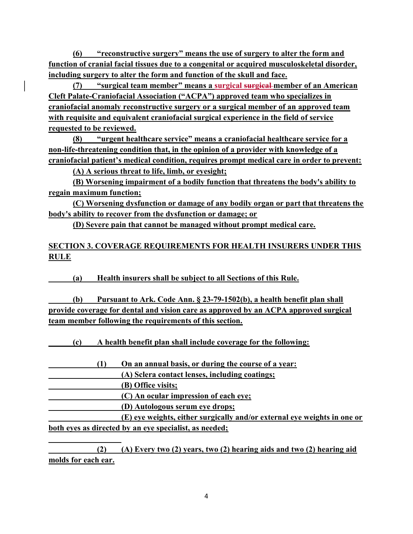(6) "reconstructive surgery" means the use of surgery to alter the form and function of cranial facial tissues due to a congenital or acquired musculoskeletal disorder, including surgery to alter the form and function of the skull and face.

(7) "surgical team member" means a surgical surgical-member of an American Cleft Palate-Craniofacial Association ("ACPA") approved team who specializes in craniofacial anomaly reconstructive surgery or a surgical member of an approved team with requisite and equivalent craniofacial surgical experience in the field of service requested to be reviewed.

(8) "urgent healthcare service" means a craniofacial healthcare service for a non-life-threatening condition that, in the opinion of a provider with knowledge of a craniofacial patient's medical condition, requires prompt medical care in order to prevent:

(A) A serious threat to life, limb, or eyesight;

(B) Worsening impairment of a bodily function that threatens the body's ability to regain maximum function;

(C) Worsening dysfunction or damage of any bodily organ or part that threatens the body's ability to recover from the dysfunction or damage; or

(D) Severe pain that cannot be managed without prompt medical care.

# SECTION 3. COVERAGE REQUIREMENTS FOR HEALTH INSURERS UNDER THIS RULE

(a) Health insurers shall be subject to all Sections of this Rule.

| (b) | Pursuant to Ark. Code Ann. § 23-79-1502(b), a health benefit plan shall              |
|-----|--------------------------------------------------------------------------------------|
|     | provide coverage for dental and vision care as approved by an ACPA approved surgical |
|     | team member following the requirements of this section.                              |

(c) A health benefit plan shall include coverage for the following:

(1) On an annual basis, or during the course of a year:

(A) Sclera contact lenses, including coatings;

(B) Office visits;

l

(C) An ocular impression of each eye;

(D) Autologous serum eye drops;

 (E) eye weights, either surgically and/or external eye weights in one or both eyes as directed by an eye specialist, as needed;

 (2) (A) Every two (2) years, two (2) hearing aids and two (2) hearing aid molds for each ear.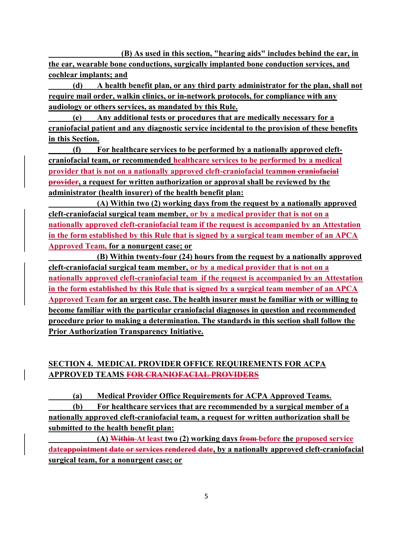(B) As used in this section, "hearing aids" includes behind the ear, in the ear, wearable bone conductions, surgically implanted bone conduction services, and cochlear implants; and

 (d) A health benefit plan, or any third party administrator for the plan, shall not require mail order, walkin clinics, or in-network protocols, for compliance with any audiology or others services, as mandated by this Rule.

 (e) Any additional tests or procedures that are medically necessary for a craniofacial patient and any diagnostic service incidental to the provision of these benefits in this Section.

 (f) For healthcare services to be performed by a nationally approved cleftcraniofacial team, or recommended healthcare services to be performed by a medical provider that is not on a nationally approved cleft-craniofacial teamnon craniofacial provider, a request for written authorization or approval shall be reviewed by the administrator (health insurer) of the health benefit plan:

 (A) Within two (2) working days from the request by a nationally approved cleft-craniofacial surgical team member, or by a medical provider that is not on a nationally approved cleft-craniofacial team if the request is accompanied by an Attestation in the form established by this Rule that is signed by a surgical team member of an APCA Approved Team, for a nonurgent case; or

 (B) Within twenty-four (24) hours from the request by a nationally approved cleft-craniofacial surgical team member, or by a medical provider that is not on a nationally approved cleft-craniofacial team if the request is accompanied by an Attestation in the form established by this Rule that is signed by a surgical team member of an APCA Approved Team for an urgent case. The health insurer must be familiar with or willing to become familiar with the particular craniofacial diagnoses in question and recommended procedure prior to making a determination. The standards in this section shall follow the Prior Authorization Transparency Initiative.

# SECTION 4. MEDICAL PROVIDER OFFICE REQUIREMENTS FOR ACPA APPROVED TEAMS FOR CRANIOFACIAL PROVIDERS

 (a) Medical Provider Office Requirements for ACPA Approved Teams. (b) For healthcare services that are recommended by a surgical member of a nationally approved cleft-craniofacial team, a request for written authorization shall be submitted to the health benefit plan:

 (A) Within At least two (2) working days from before the proposed service dateappointment date or services rendered date, by a nationally approved cleft-craniofacial surgical team, for a nonurgent case; or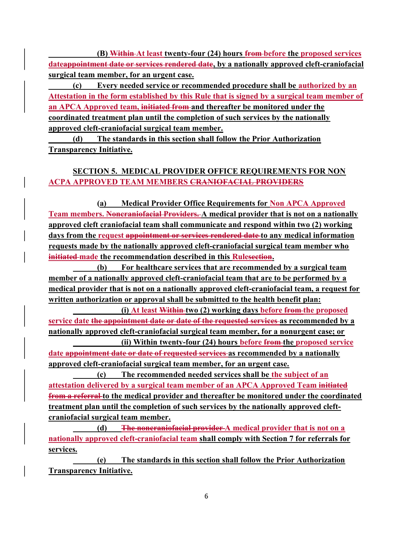(B) Within At least twenty-four (24) hours from before the proposed services dateappointment date or services rendered date, by a nationally approved cleft-craniofacial surgical team member, for an urgent case.

 (c) Every needed service or recommended procedure shall be authorized by an Attestation in the form established by this Rule that is signed by a surgical team member of an APCA Approved team, initiated from and thereafter be monitored under the coordinated treatment plan until the completion of such services by the nationally approved cleft-craniofacial surgical team member.

 (d) The standards in this section shall follow the Prior Authorization Transparency Initiative.

# SECTION 5. MEDICAL PROVIDER OFFICE REQUIREMENTS FOR NON ACPA APPROVED TEAM MEMBERS CRANIOFACIAL PROVIDERS

 (a) Medical Provider Office Requirements for Non APCA Approved Team members. Noncraniofacial Providers. A medical provider that is not on a nationally approved cleft craniofacial team shall communicate and respond within two (2) working days from the request appointment or services rendered date to any medical information requests made by the nationally approved cleft-craniofacial surgical team member who initiated made the recommendation described in this Rulesection.

 (b) For healthcare services that are recommended by a surgical team member of a nationally approved cleft-craniofacial team that are to be performed by a medical provider that is not on a nationally approved cleft-craniofacial team, a request for written authorization or approval shall be submitted to the health benefit plan:

 (i) At least Within two (2) working days before from the proposed service date the appointment date or date of the requested services as recommended by a nationally approved cleft-craniofacial surgical team member, for a nonurgent case; or (ii) Within twenty-four (24) hours before from the proposed service

date <del>appointment date or date of requested services</del> as recommended by a nationally approved cleft-craniofacial surgical team member, for an urgent case.

 (c) The recommended needed services shall be the subject of an attestation delivered by a surgical team member of an APCA Approved Team initiated from a referral to the medical provider and thereafter be monitored under the coordinated treatment plan until the completion of such services by the nationally approved cleftcraniofacial surgical team member.

(d) The noncraniofacial provider A medical provider that is not on a nationally approved cleft-craniofacial team shall comply with Section 7 for referrals for services.

 (e) The standards in this section shall follow the Prior Authorization Transparency Initiative.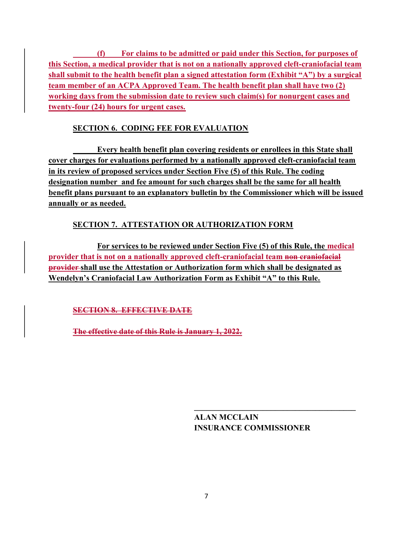(f) For claims to be admitted or paid under this Section, for purposes of this Section, a medical provider that is not on a nationally approved cleft-craniofacial team shall submit to the health benefit plan a signed attestation form (Exhibit "A") by a surgical team member of an ACPA Approved Team. The health benefit plan shall have two (2) working days from the submission date to review such claim(s) for nonurgent cases and twenty-four (24) hours for urgent cases.

# SECTION 6. CODING FEE FOR EVALUATION

 Every health benefit plan covering residents or enrollees in this State shall cover charges for evaluations performed by a nationally approved cleft-craniofacial team in its review of proposed services under Section Five (5) of this Rule. The coding designation number and fee amount for such charges shall be the same for all health benefit plans pursuant to an explanatory bulletin by the Commissioner which will be issued annually or as needed.

# SECTION 7. ATTESTATION OR AUTHORIZATION FORM

 For services to be reviewed under Section Five (5) of this Rule, the medical provider that is not on a nationally approved cleft-craniofacial team non craniofacial provider shall use the Attestation or Authorization form which shall be designated as Wendelyn's Craniofacial Law Authorization Form as Exhibit "A" to this Rule.

SECTION 8. EFFECTIVE DATE

The effective date of this Rule is January 1, 2022.

 ALAN MCCLAIN INSURANCE COMMISSIONER

 $\frac{1}{\sqrt{2}}$  , and the contract of the contract of the contract of the contract of the contract of the contract of the contract of the contract of the contract of the contract of the contract of the contract of the contra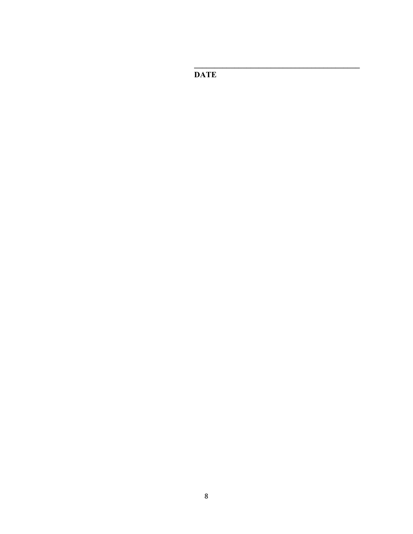**DATE**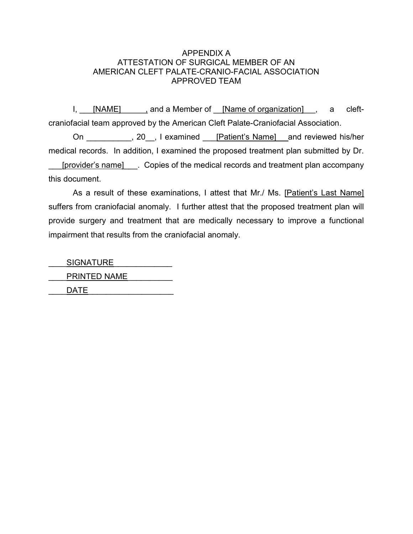### APPENDIX A ATTESTATION OF SURGICAL MEMBER OF AN AMERICAN CLEFT PALATE-CRANIO-FACIAL ASSOCIATION APPROVED TEAM

I, [NAME] , and a Member of [Name of organization], a cleftcraniofacial team approved by the American Cleft Palate-Craniofacial Association.

On 20, I examined [Patient's Name] and reviewed his/her medical records. In addition, I examined the proposed treatment plan submitted by Dr. [provider's name] Copies of the medical records and treatment plan accompany this document.

 As a result of these examinations, I attest that Mr./ Ms. [Patient's Last Name] suffers from craniofacial anomaly. I further attest that the proposed treatment plan will provide surgery and treatment that are medically necessary to improve a functional impairment that results from the craniofacial anomaly.

SIGNATURE PRINTED NAME \_\_\_\_DATE\_\_\_\_\_\_\_\_\_\_\_\_\_\_\_\_\_\_\_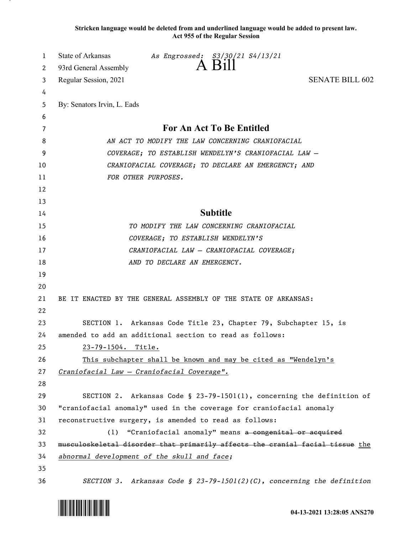**Stricken language would be deleted from and underlined language would be added to present law. Act 955 of the Regular Session**

| 1  | State of Arkansas           | As Engrossed: S3/30/21 S4/13/21                                               |                        |
|----|-----------------------------|-------------------------------------------------------------------------------|------------------------|
| 2  | 93rd General Assembly       | A Bill                                                                        |                        |
| 3  | Regular Session, 2021       |                                                                               | <b>SENATE BILL 602</b> |
| 4  |                             |                                                                               |                        |
| 5  | By: Senators Irvin, L. Eads |                                                                               |                        |
| 6  |                             |                                                                               |                        |
| 7  |                             | For An Act To Be Entitled                                                     |                        |
| 8  |                             | AN ACT TO MODIFY THE LAW CONCERNING CRANIOFACIAL                              |                        |
| 9  |                             | COVERAGE; TO ESTABLISH WENDELYN'S CRANIOFACIAL LAW -                          |                        |
| 10 |                             | CRANIOFACIAL COVERAGE; TO DECLARE AN EMERGENCY; AND                           |                        |
| 11 |                             | FOR OTHER PURPOSES.                                                           |                        |
| 12 |                             |                                                                               |                        |
| 13 |                             |                                                                               |                        |
| 14 |                             | <b>Subtitle</b>                                                               |                        |
| 15 |                             | TO MODIFY THE LAW CONCERNING CRANIOFACIAL                                     |                        |
| 16 |                             | COVERAGE; TO ESTABLISH WENDELYN'S                                             |                        |
| 17 |                             | CRANIOFACIAL LAW - CRANIOFACIAL COVERAGE;                                     |                        |
| 18 |                             | AND TO DECLARE AN EMERGENCY.                                                  |                        |
| 19 |                             |                                                                               |                        |
| 20 |                             |                                                                               |                        |
| 21 |                             | BE IT ENACTED BY THE GENERAL ASSEMBLY OF THE STATE OF ARKANSAS:               |                        |
| 22 |                             |                                                                               |                        |
| 23 |                             | SECTION 1. Arkansas Code Title 23, Chapter 79, Subchapter 15, is              |                        |
| 24 |                             | amended to add an additional section to read as follows:                      |                        |
| 25 | 23-79-1504. Title.          |                                                                               |                        |
| 26 |                             | This subchapter shall be known and may be cited as "Wendelyn's                |                        |
| 27 |                             | Craniofacial Law - Craniofacial Coverage".                                    |                        |
| 28 |                             |                                                                               |                        |
| 29 |                             | SECTION 2. Arkansas Code § 23-79-1501(1), concerning the definition of        |                        |
| 30 |                             | "craniofacial anomaly" used in the coverage for craniofacial anomaly          |                        |
| 31 |                             | reconstructive surgery, is amended to read as follows:                        |                        |
| 32 |                             | (1) "Craniofacial anomaly" means a congenital or acquired                     |                        |
| 33 |                             | musculoskeletal disorder that primarily affects the cranial facial tissue the |                        |
| 34 |                             | abnormal development of the skull and face;                                   |                        |
| 35 |                             |                                                                               |                        |
| 36 |                             | SECTION 3. Arkansas Code § 23-79-1501(2)(C), concerning the definition        |                        |

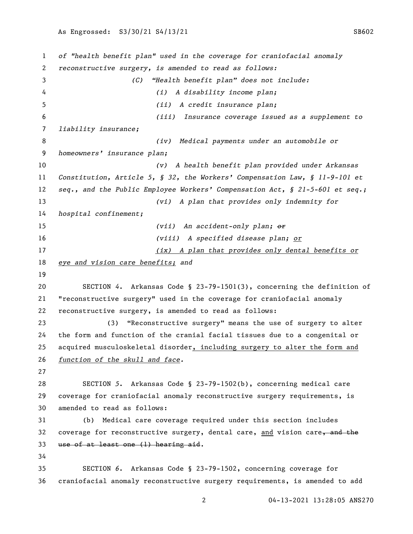*of "health benefit plan" used in the coverage for craniofacial anomaly reconstructive surgery, is amended to read as follows: (C) "Health benefit plan" does not include: (i) A disability income plan; (ii) A credit insurance plan; (iii) Insurance coverage issued as a supplement to liability insurance; (iv) Medical payments under an automobile or homeowners' insurance plan; (v) A health benefit plan provided under Arkansas Constitution, Article 5, § 32, the Workers' Compensation Law, § 11-9-101 et seq., and the Public Employee Workers' Compensation Act, § 21-5-601 et seq.; (vi) A plan that provides only indemnity for hospital confinement; (vii) An accident-only plan; or (viii) A specified disease plan; or (ix) A plan that provides only dental benefits or eye and vision care benefits; and* SECTION *4*. Arkansas Code § 23-79-1501(3), concerning the definition of "reconstructive surgery" used in the coverage for craniofacial anomaly reconstructive surgery, is amended to read as follows: (3) "Reconstructive surgery" means the use of surgery to alter the form and function of the cranial facial tissues due to a congenital or acquired musculoskeletal disorder, including surgery to alter the form and *function of the skull and face.* SECTION *5*. Arkansas Code § 23-79-1502(b), concerning medical care coverage for craniofacial anomaly reconstructive surgery requirements, is amended to read as follows: (b) Medical care coverage required under this section includes 32 coverage for reconstructive surgery, dental care, and vision care, and the use of at least one (1) hearing aid. SECTION *6*. Arkansas Code § 23-79-1502, concerning coverage for craniofacial anomaly reconstructive surgery requirements, is amended to add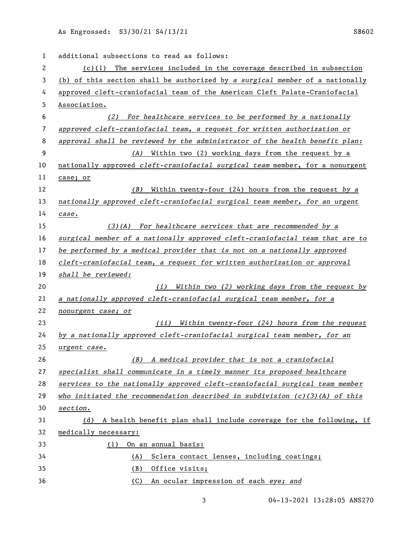| 1  | additional subsections to read as follows:                                    |
|----|-------------------------------------------------------------------------------|
| 2  | $(c)(1)$ The services included in the coverage described in subsection        |
| 3  | (b) of this section shall be authorized by a surgical member of a nationally  |
| 4  | approved cleft-craniofacial team of the American Cleft Palate-Craniofacial    |
| 5  | Association.                                                                  |
| 6  | For healthcare services to be performed by a nationally<br>(2)                |
| 7  | approved cleft-craniofacial team, a request for written authorization or      |
| 8  | approval shall be reviewed by the administrator of the health benefit plan:   |
| 9  | (A) Within two (2) working days from the request by a                         |
| 10 | nationally approved cleft-craniofacial surgical team member, for a nonurgent  |
| 11 | case; or                                                                      |
| 12 | Within twenty-four (24) hours from the request by a<br>(B)                    |
| 13 | nationally approved cleft-craniofacial surgical team member, for an urgent    |
| 14 | case.                                                                         |
| 15 | $(3)(A)$ For healthcare services that are recommended by a                    |
| 16 | surgical member of a nationally approved cleft-craniofacial team that are to  |
| 17 | be performed by a medical provider that is not on a nationally approved       |
| 18 | cleft-craniofacial team, a request for written authorization or approval      |
| 19 | shall be reviewed:                                                            |
| 20 | Within two (2) working days from the request by<br>(i)                        |
| 21 | a nationally approved cleft-craniofacial surgical team member, for a          |
| 22 | nonurgent case; or                                                            |
| 23 | (ii) Within twenty-four (24) hours from the request                           |
| 24 | by a nationally approved cleft-craniofacial surgical team member, for an      |
| 25 | urgent case.                                                                  |
| 26 | A medical provider that is not a craniofacial<br>(B)                          |
| 27 | specialist shall communicate in a timely manner its proposed healthcare       |
| 28 | services to the nationally approved cleft-craniofacial surgical team member   |
| 29 | who initiated the recommendation described in subdivision $(c)(3)(A)$ of this |
| 30 | section.                                                                      |
| 31 | A health benefit plan shall include coverage for the following, if<br>(d)     |
| 32 | medically necessary:                                                          |
| 33 | On an annual basis:<br>(1)                                                    |
| 34 | Sclera contact lenses, including coatings;<br>(A)                             |
| 35 | (B)<br>Office visits;                                                         |
| 36 | (C)<br>An ocular impression of each eye; and                                  |

04-13-2021 13:28:05 ANS270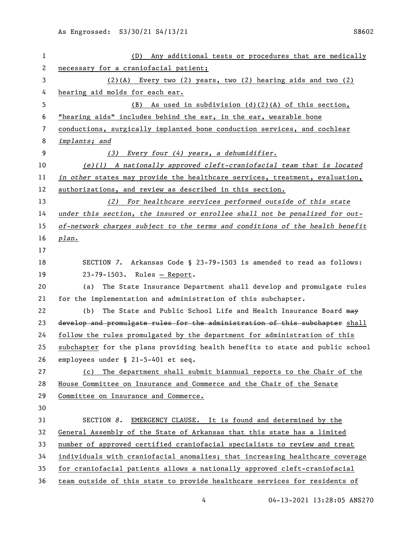| 1  | (D) Any additional tests or procedures that are medically                     |
|----|-------------------------------------------------------------------------------|
| 2  | necessary for a craniofacial patient;                                         |
| 3  | $(2)$ (A) Every two (2) years, two (2) hearing aids and two (2)               |
| 4  | hearing aid molds for each ear.                                               |
| 5  | As used in subdivision (d)(2)(A) of this section,<br>(B)                      |
| 6  | "hearing aids" includes behind the ear, in the ear, wearable bone             |
| 7  | conductions, surgically implanted bone conduction services, and cochlear      |
| 8  | implants; and                                                                 |
| 9  | Every four (4) years, a dehumidifier.<br>(3)                                  |
| 10 | $(e)(1)$ A nationally approved cleft-craniofacial team that is located        |
| 11 | in other states may provide the healthcare services, treatment, evaluation,   |
| 12 | authorizations, and review as described in this section.                      |
| 13 | (2) For healthcare services performed outside of this state                   |
| 14 | under this section, the insured or enrollee shall not be penalized for out-   |
| 15 | of-network charges subject to the terms and conditions of the health benefit  |
| 16 | plan.                                                                         |
| 17 |                                                                               |
| 18 | SECTION 7. Arkansas Code § 23-79-1503 is amended to read as follows:          |
| 19 | 23-79-1503. Rules - Report.                                                   |
| 20 | The State Insurance Department shall develop and promulgate rules<br>(a)      |
| 21 | for the implementation and administration of this subchapter.                 |
| 22 | The State and Public School Life and Health Insurance Board may<br>(b)        |
| 23 | develop and promulgate rules for the administration of this subchapter shall  |
| 24 | follow the rules promulgated by the department for administration of this     |
| 25 | subchapter for the plans providing health benefits to state and public school |
| 26 | employees under § 21-5-401 et seq.                                            |
| 27 | The department shall submit biannual reports to the Chair of the<br>(c)       |
| 28 | House Committee on Insurance and Commerce and the Chair of the Senate         |
| 29 | Committee on Insurance and Commerce.                                          |
| 30 |                                                                               |
| 31 | SECTION 8. EMERGENCY CLAUSE. It is found and determined by the                |
| 32 | General Assembly of the State of Arkansas that this state has a limited       |
| 33 | number of approved certified craniofacial specialists to review and treat     |
| 34 | individuals with craniofacial anomalies; that increasing healthcare coverage  |
| 35 | for craniofacial patients allows a nationally approved cleft-craniofacial     |
| 36 | team outside of this state to provide healthcare services for residents of    |

04-13-2021 13:28:05 ANS270